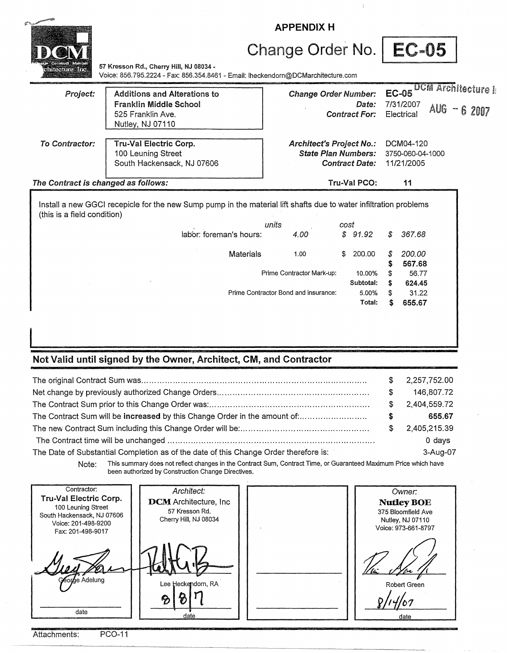|                                     | <b>APPENDIX H</b>                                                                                                           |                                                               |                               |                                             |       |                                     |  |
|-------------------------------------|-----------------------------------------------------------------------------------------------------------------------------|---------------------------------------------------------------|-------------------------------|---------------------------------------------|-------|-------------------------------------|--|
|                                     |                                                                                                                             | Change Order No.                                              |                               |                                             | EC-05 |                                     |  |
|                                     | 57 Kresson Rd., Cherry Hill, NJ 08034 -<br>Voice: 856.795.2224 - Fax: 856.354.8461 - Email: Iheckendorn@DCMarchitecture.com |                                                               |                               |                                             |       |                                     |  |
| Project:                            | <b>Additions and Alterations to</b><br><b>Franklin Middle School</b><br>525 Franklin Ave.<br>Nutley, NJ 07110               | <b>Change Order Number:</b>                                   | Date:<br><b>Contract For:</b> | <b>EC-05</b><br>7/31/2007<br>Electrical     | AUG - | <b>DCM Architecture I</b><br>6 2007 |  |
| To Contractor:                      | Tru-Val Electric Corp.<br>100 Leuning Street<br>South Hackensack, NJ 07606                                                  | <b>Architect's Project No.:</b><br><b>State Plan Numbers:</b> | <b>Contract Date:</b>         | DCM04-120<br>3750-060-04-1000<br>11/21/2005 |       |                                     |  |
| The Contract is changed as follows: |                                                                                                                             |                                                               | Tru-Val PCO:                  | 11                                          |       |                                     |  |
| (this is a field condition)         | Install a new GGCI recepicle for the new Sump pump in the material lift shafts due to water infiltration problems           |                                                               |                               |                                             |       |                                     |  |
|                                     | labor: foreman's hours:                                                                                                     | units<br>4.00                                                 | cost<br>\$91.92               | 367.68<br>S                                 |       |                                     |  |
|                                     | <b>Materials</b>                                                                                                            | 1.00                                                          | 200.00<br>\$                  | 200.00<br>567.68                            |       |                                     |  |
|                                     |                                                                                                                             | Prime Contractor Mark-up:                                     | 10.00%<br>Subtotal:           | 624.45<br>\$                                | 56.77 |                                     |  |
|                                     | Prime Contractor Bond and insurance:                                                                                        |                                                               | 5.00%<br>Total:               | 655.67<br>S                                 | 31.22 |                                     |  |
|                                     |                                                                                                                             |                                                               |                               |                                             |       |                                     |  |

 $\mathbf{I}$ 

## Not Valid until signed by the Owner, Architect, CM, and Contractor

|                                                                                      |    | 2,257,752.00 |
|--------------------------------------------------------------------------------------|----|--------------|
|                                                                                      |    | 146,807.72   |
|                                                                                      | S. | 2,404,559.72 |
| The Contract Sum will be increased by this Change Order in the amount of:            | S  | 655.67       |
|                                                                                      |    | 2,405,215.39 |
|                                                                                      |    | 0 days       |
| The Date of Substantial Completion as of the date of this Change Order therefore is: |    | 3-Aug-07     |

Note: This summary does not reflect changes in the Contract Sum, Contract Time, or Guaranteed Maximum Price which have been authorized by Construction Change Directives.

| Tru-Val Electric Corp.<br>100 Leuning Street<br>South Hackensack, NJ 07606<br>Voice: 201-498-9200<br>Fax: 201-498-9017 | Architect:<br><b>DCM</b> Architecture, Inc.<br>57 Kresson Rd.<br>Cherry Hill, NJ 08034 | Owner:<br><b>Nutley BOE</b><br>375 Bloomfield Ave<br>Nutley, NJ 07110<br>Voice: 973-661-8797 |
|------------------------------------------------------------------------------------------------------------------------|----------------------------------------------------------------------------------------|----------------------------------------------------------------------------------------------|
| George Adelung                                                                                                         | Lee Heckendorn, RA<br>ဓ                                                                | Robert Green                                                                                 |

Attachments: PC0-11